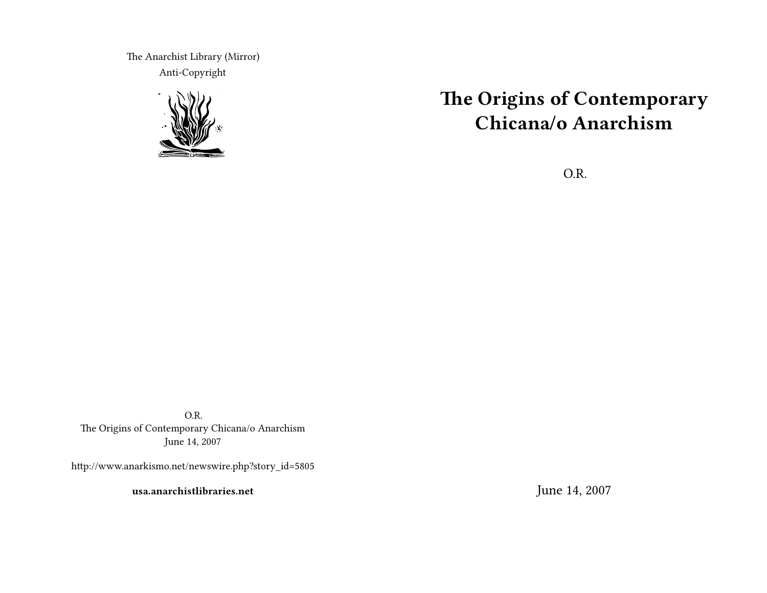The Anarchist Library (Mirror) Anti-Copyright



# **The Origins of Contemporary Chicana/o Anarchism**

O.R.

O.R. The Origins of Contemporary Chicana/o Anarchism June 14, 2007

http://www.anarkismo.net/newswire.php?story\_id=5805

**usa.anarchistlibraries.net**

June 14, 2007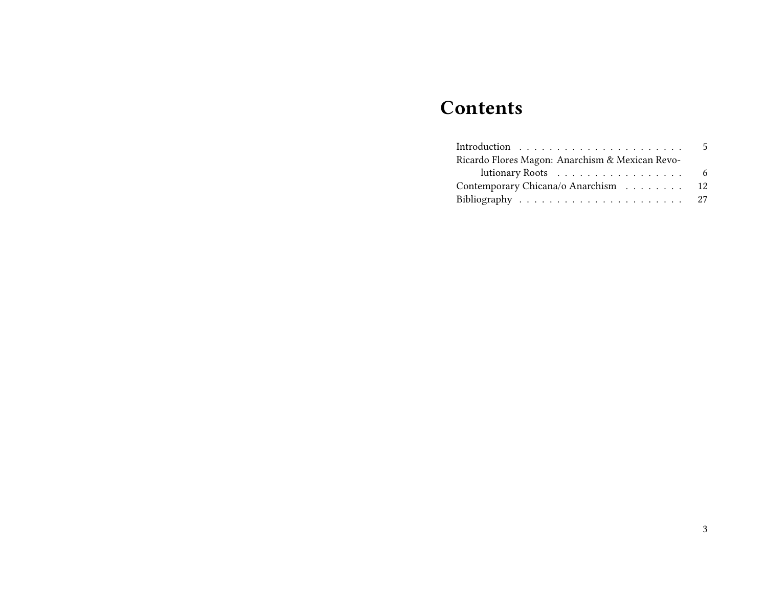## **Contents**

|                                                 | .5 |
|-------------------------------------------------|----|
| Ricardo Flores Magon: Anarchism & Mexican Revo- |    |
|                                                 |    |
| Contemporary Chicana/o Anarchism 12             |    |
|                                                 |    |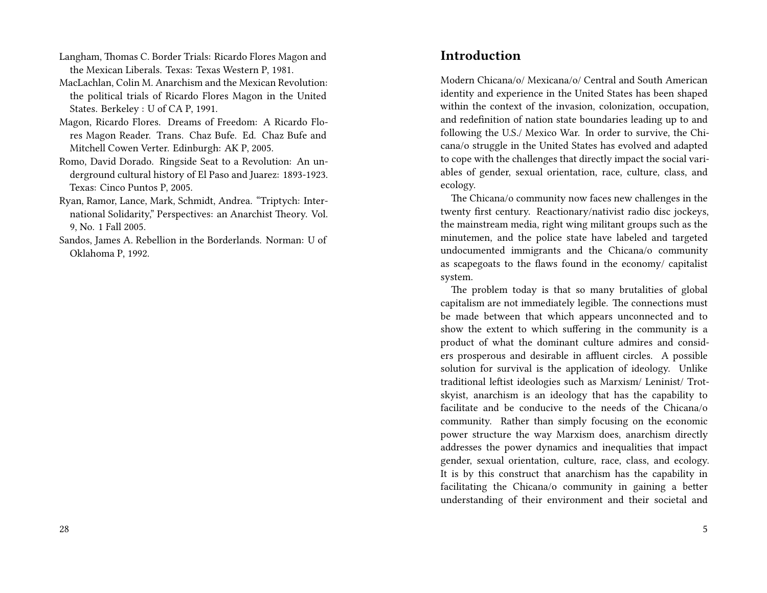- Langham, Thomas C. Border Trials: Ricardo Flores Magon and the Mexican Liberals. Texas: Texas Western P, 1981.
- MacLachlan, Colin M. Anarchism and the Mexican Revolution: the political trials of Ricardo Flores Magon in the United States. Berkeley : U of CA P, 1991.
- Magon, Ricardo Flores. Dreams of Freedom: A Ricardo Flores Magon Reader. Trans. Chaz Bufe. Ed. Chaz Bufe and Mitchell Cowen Verter. Edinburgh: AK P, 2005.
- Romo, David Dorado. Ringside Seat to a Revolution: An underground cultural history of El Paso and Juarez: 1893-1923. Texas: Cinco Puntos P, 2005.
- Ryan, Ramor, Lance, Mark, Schmidt, Andrea. "Triptych: International Solidarity," Perspectives: an Anarchist Theory. Vol. 9, No. 1 Fall 2005.
- Sandos, James A. Rebellion in the Borderlands. Norman: U of Oklahoma P, 1992.

#### **Introduction**

Modern Chicana/o/ Mexicana/o/ Central and South American identity and experience in the United States has been shaped within the context of the invasion, colonization, occupation, and redefinition of nation state boundaries leading up to and following the U.S./ Mexico War. In order to survive, the Chicana/o struggle in the United States has evolved and adapted to cope with the challenges that directly impact the social variables of gender, sexual orientation, race, culture, class, and ecology.

The Chicana/o community now faces new challenges in the twenty first century. Reactionary/nativist radio disc jockeys, the mainstream media, right wing militant groups such as the minutemen, and the police state have labeled and targeted undocumented immigrants and the Chicana/o community as scapegoats to the flaws found in the economy/ capitalist system.

The problem today is that so many brutalities of global capitalism are not immediately legible. The connections must be made between that which appears unconnected and to show the extent to which suffering in the community is a product of what the dominant culture admires and considers prosperous and desirable in affluent circles. A possible solution for survival is the application of ideology. Unlike traditional leftist ideologies such as Marxism/ Leninist/ Trotskyist, anarchism is an ideology that has the capability to facilitate and be conducive to the needs of the Chicana/o community. Rather than simply focusing on the economic power structure the way Marxism does, anarchism directly addresses the power dynamics and inequalities that impact gender, sexual orientation, culture, race, class, and ecology. It is by this construct that anarchism has the capability in facilitating the Chicana/o community in gaining a better understanding of their environment and their societal and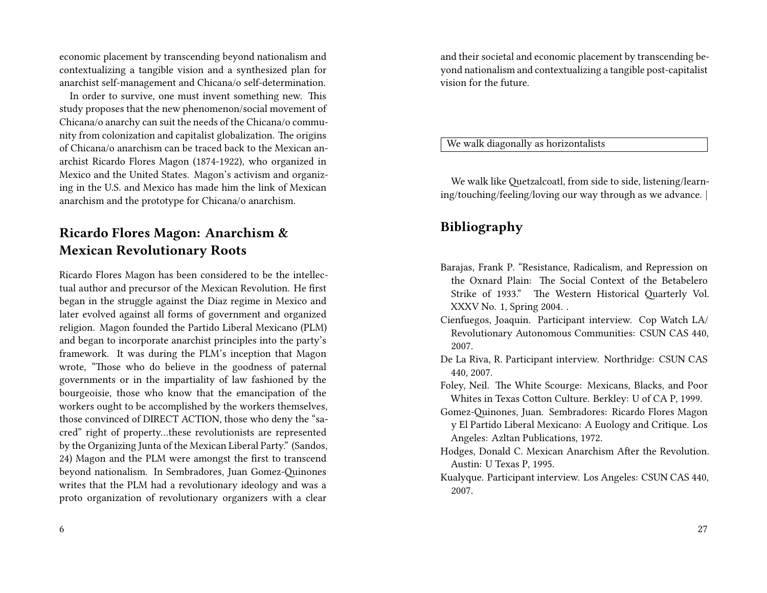economic placement by transcending beyond nationalism and contextualizing a tangible vision and a synthesized plan for anarchist self-management and Chicana/o self-determination.

In order to survive, one must invent something new. This study proposes that the new phenomenon/social movement of Chicana/o anarchy can suit the needs of the Chicana/o community from colonization and capitalist globalization. The origins of Chicana/o anarchism can be traced back to the Mexican anarchist Ricardo Flores Magon (1874-1922), who organized in Mexico and the United States. Magon's activism and organizing in the U.S. and Mexico has made him the link of Mexican anarchism and the prototype for Chicana/o anarchism.

### **Ricardo Flores Magon: Anarchism & Mexican Revolutionary Roots**

Ricardo Flores Magon has been considered to be the intellectual author and precursor of the Mexican Revolution. He first began in the struggle against the Diaz regime in Mexico and later evolved against all forms of government and organized religion. Magon founded the Partido Liberal Mexicano (PLM) and began to incorporate anarchist principles into the party's framework. It was during the PLM's inception that Magon wrote, "Those who do believe in the goodness of paternal governments or in the impartiality of law fashioned by the bourgeoisie, those who know that the emancipation of the workers ought to be accomplished by the workers themselves, those convinced of DIRECT ACTION, those who deny the "sacred" right of property…these revolutionists are represented by the Organizing Junta of the Mexican Liberal Party." (Sandos, 24) Magon and the PLM were amongst the first to transcend beyond nationalism. In Sembradores, Juan Gomez-Quinones writes that the PLM had a revolutionary ideology and was a proto organization of revolutionary organizers with a clear

and their societal and economic placement by transcending beyond nationalism and contextualizing a tangible post-capitalist vision for the future.

We walk diagonally as horizontalists

We walk like Quetzalcoatl, from side to side, listening/learning/touching/feeling/loving our way through as we advance.

### **Bibliography**

- Barajas, Frank P. "Resistance, Radicalism, and Repression on the Oxnard Plain: The Social Context of the Betabelero Strike of 1933." The Western Historical Quarterly Vol. XXXV No. 1, Spring 2004. .
- Cienfuegos, Joaquin. Participant interview. Cop Watch LA/ Revolutionary Autonomous Communities: CSUN CAS 440, 2007.
- De La Riva, R. Participant interview. Northridge: CSUN CAS 440, 2007.
- Foley, Neil. The White Scourge: Mexicans, Blacks, and Poor Whites in Texas Cotton Culture. Berkley: U of CA P, 1999.
- Gomez-Quinones, Juan. Sembradores: Ricardo Flores Magon y El Partido Liberal Mexicano: A Euology and Critique. Los Angeles: Azltan Publications, 1972.
- Hodges, Donald C. Mexican Anarchism After the Revolution. Austin: U Texas P, 1995.
- Kualyque. Participant interview. Los Angeles: CSUN CAS 440, 2007.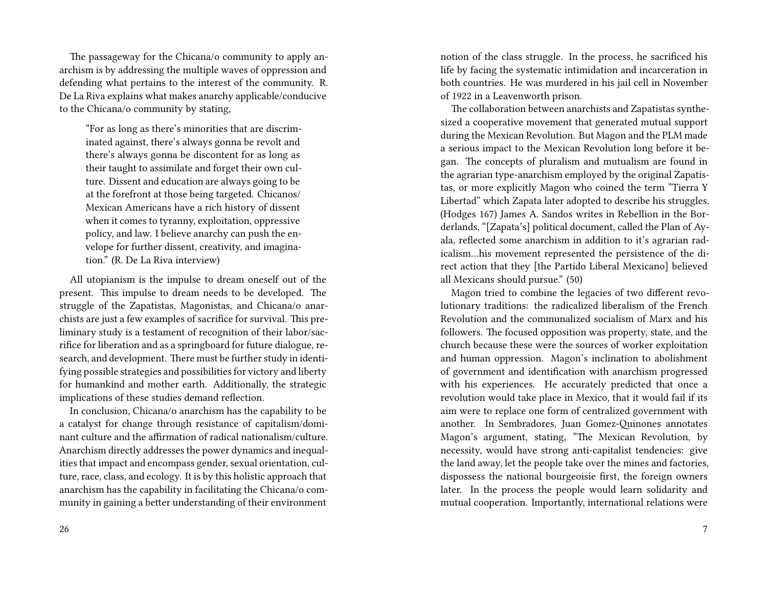The passageway for the Chicana/o community to apply anarchism is by addressing the multiple waves of oppression and defending what pertains to the interest of the community. R. De La Riva explains what makes anarchy applicable/conducive to the Chicana/o community by stating,

"For as long as there's minorities that are discriminated against, there's always gonna be revolt and there's always gonna be discontent for as long as their taught to assimilate and forget their own culture. Dissent and education are always going to be at the forefront at those being targeted. Chicanos/ Mexican Americans have a rich history of dissent when it comes to tyranny, exploitation, oppressive policy, and law. I believe anarchy can push the envelope for further dissent, creativity, and imagination." (R. De La Riva interview)

All utopianism is the impulse to dream oneself out of the present. This impulse to dream needs to be developed. The struggle of the Zapatistas, Magonistas, and Chicana/o anarchists are just a few examples of sacrifice for survival. This preliminary study is a testament of recognition of their labor/sacrifice for liberation and as a springboard for future dialogue, research, and development. There must be further study in identifying possible strategies and possibilities for victory and liberty for humankind and mother earth. Additionally, the strategic implications of these studies demand reflection.

In conclusion, Chicana/o anarchism has the capability to be a catalyst for change through resistance of capitalism/dominant culture and the affirmation of radical nationalism/culture. Anarchism directly addresses the power dynamics and inequalities that impact and encompass gender, sexual orientation, culture, race, class, and ecology. It is by this holistic approach that anarchism has the capability in facilitating the Chicana/o community in gaining a better understanding of their environment

notion of the class struggle. In the process, he sacrificed his life by facing the systematic intimidation and incarceration in both countries. He was murdered in his jail cell in November of 1922 in a Leavenworth prison.

The collaboration between anarchists and Zapatistas synthesized a cooperative movement that generated mutual support during the Mexican Revolution. But Magon and the PLM made a serious impact to the Mexican Revolution long before it began. The concepts of pluralism and mutualism are found in the agrarian type-anarchism employed by the original Zapatistas, or more explicitly Magon who coined the term "Tierra Y Libertad" which Zapata later adopted to describe his struggles. (Hodges 167) James A. Sandos writes in Rebellion in the Borderlands, "[Zapata's] political document, called the Plan of Ayala, reflected some anarchism in addition to it's agrarian radicalism…his movement represented the persistence of the direct action that they [the Partido Liberal Mexicano] believed all Mexicans should pursue." (50)

Magon tried to combine the legacies of two different revolutionary traditions: the radicalized liberalism of the French Revolution and the communalized socialism of Marx and his followers. The focused opposition was property, state, and the church because these were the sources of worker exploitation and human oppression. Magon's inclination to abolishment of government and identification with anarchism progressed with his experiences. He accurately predicted that once a revolution would take place in Mexico, that it would fail if its aim were to replace one form of centralized government with another. In Sembradores, Juan Gomez-Quinones annotates Magon's argument, stating, "The Mexican Revolution, by necessity, would have strong anti-capitalist tendencies: give the land away, let the people take over the mines and factories, dispossess the national bourgeoisie first, the foreign owners later. In the process the people would learn solidarity and mutual cooperation. Importantly, international relations were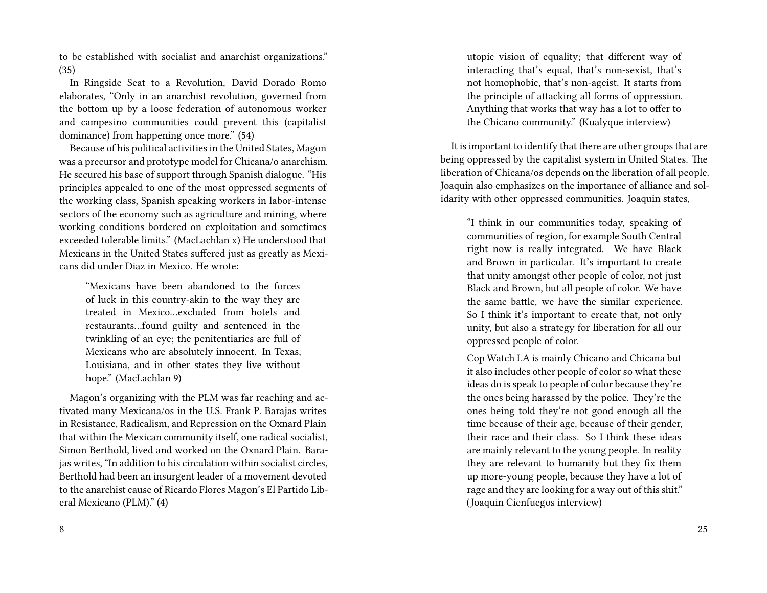to be established with socialist and anarchist organizations." (35)

In Ringside Seat to a Revolution, David Dorado Romo elaborates, "Only in an anarchist revolution, governed from the bottom up by a loose federation of autonomous worker and campesino communities could prevent this (capitalist dominance) from happening once more." (54)

Because of his political activities in the United States, Magon was a precursor and prototype model for Chicana/o anarchism. He secured his base of support through Spanish dialogue. "His principles appealed to one of the most oppressed segments of the working class, Spanish speaking workers in labor-intense sectors of the economy such as agriculture and mining, where working conditions bordered on exploitation and sometimes exceeded tolerable limits." (MacLachlan x) He understood that Mexicans in the United States suffered just as greatly as Mexicans did under Diaz in Mexico. He wrote:

"Mexicans have been abandoned to the forces of luck in this country-akin to the way they are treated in Mexico…excluded from hotels and restaurants…found guilty and sentenced in the twinkling of an eye; the penitentiaries are full of Mexicans who are absolutely innocent. In Texas, Louisiana, and in other states they live without hope." (MacLachlan 9)

Magon's organizing with the PLM was far reaching and activated many Mexicana/os in the U.S. Frank P. Barajas writes in Resistance, Radicalism, and Repression on the Oxnard Plain that within the Mexican community itself, one radical socialist, Simon Berthold, lived and worked on the Oxnard Plain. Barajas writes, "In addition to his circulation within socialist circles, Berthold had been an insurgent leader of a movement devoted to the anarchist cause of Ricardo Flores Magon's El Partido Liberal Mexicano (PLM)." (4)

utopic vision of equality; that different way of interacting that's equal, that's non-sexist, that's not homophobic, that's non-ageist. It starts from the principle of attacking all forms of oppression. Anything that works that way has a lot to offer to the Chicano community." (Kualyque interview)

It is important to identify that there are other groups that are being oppressed by the capitalist system in United States. The liberation of Chicana/os depends on the liberation of all people. Joaquin also emphasizes on the importance of alliance and solidarity with other oppressed communities. Joaquin states,

"I think in our communities today, speaking of communities of region, for example South Central right now is really integrated. We have Black and Brown in particular. It's important to create that unity amongst other people of color, not just Black and Brown, but all people of color. We have the same battle, we have the similar experience. So I think it's important to create that, not only unity, but also a strategy for liberation for all our oppressed people of color.

Cop Watch LA is mainly Chicano and Chicana but it also includes other people of color so what these ideas do is speak to people of color because they're the ones being harassed by the police. They're the ones being told they're not good enough all the time because of their age, because of their gender, their race and their class. So I think these ideas are mainly relevant to the young people. In reality they are relevant to humanity but they fix them up more-young people, because they have a lot of rage and they are looking for a way out of this shit." (Joaquin Cienfuegos interview)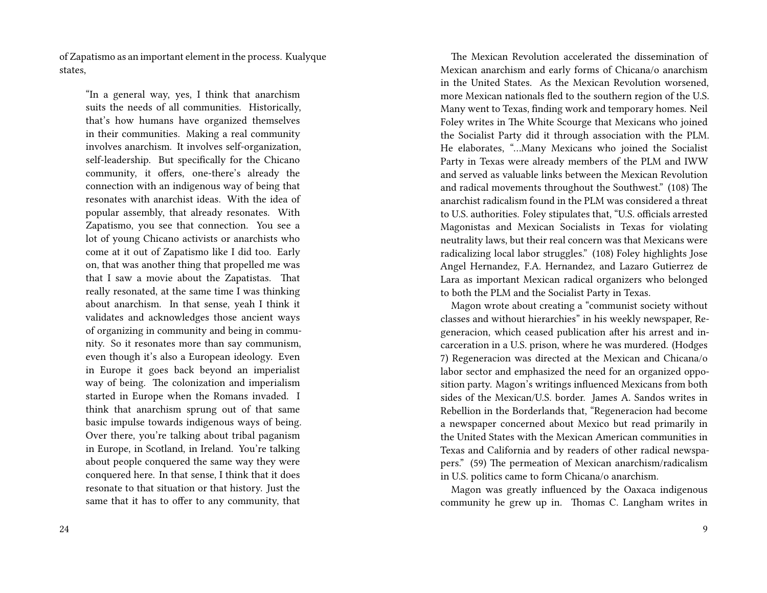of Zapatismo as an important element in the process. Kualyque states,

"In a general way, yes, I think that anarchism suits the needs of all communities. Historically, that's how humans have organized themselves in their communities. Making a real community involves anarchism. It involves self-organization, self-leadership. But specifically for the Chicano community, it offers, one-there's already the connection with an indigenous way of being that resonates with anarchist ideas. With the idea of popular assembly, that already resonates. With Zapatismo, you see that connection. You see a lot of young Chicano activists or anarchists who come at it out of Zapatismo like I did too. Early on, that was another thing that propelled me was that I saw a movie about the Zapatistas. That really resonated, at the same time I was thinking about anarchism. In that sense, yeah I think it validates and acknowledges those ancient ways of organizing in community and being in community. So it resonates more than say communism, even though it's also a European ideology. Even in Europe it goes back beyond an imperialist way of being. The colonization and imperialism started in Europe when the Romans invaded. I think that anarchism sprung out of that same basic impulse towards indigenous ways of being. Over there, you're talking about tribal paganism in Europe, in Scotland, in Ireland. You're talking about people conquered the same way they were conquered here. In that sense, I think that it does resonate to that situation or that history. Just the same that it has to offer to any community, that

The Mexican Revolution accelerated the dissemination of Mexican anarchism and early forms of Chicana/o anarchism in the United States. As the Mexican Revolution worsened, more Mexican nationals fled to the southern region of the U.S. Many went to Texas, finding work and temporary homes. Neil Foley writes in The White Scourge that Mexicans who joined the Socialist Party did it through association with the PLM. He elaborates, "…Many Mexicans who joined the Socialist Party in Texas were already members of the PLM and IWW and served as valuable links between the Mexican Revolution and radical movements throughout the Southwest." (108) The anarchist radicalism found in the PLM was considered a threat to U.S. authorities. Foley stipulates that, "U.S. officials arrested Magonistas and Mexican Socialists in Texas for violating neutrality laws, but their real concern was that Mexicans were radicalizing local labor struggles." (108) Foley highlights Jose Angel Hernandez, F.A. Hernandez, and Lazaro Gutierrez de Lara as important Mexican radical organizers who belonged to both the PLM and the Socialist Party in Texas.

Magon wrote about creating a "communist society without classes and without hierarchies" in his weekly newspaper, Regeneracion, which ceased publication after his arrest and incarceration in a U.S. prison, where he was murdered. (Hodges 7) Regeneracion was directed at the Mexican and Chicana/o labor sector and emphasized the need for an organized opposition party. Magon's writings influenced Mexicans from both sides of the Mexican/U.S. border. James A. Sandos writes in Rebellion in the Borderlands that, "Regeneracion had become a newspaper concerned about Mexico but read primarily in the United States with the Mexican American communities in Texas and California and by readers of other radical newspapers." (59) The permeation of Mexican anarchism/radicalism in U.S. politics came to form Chicana/o anarchism.

Magon was greatly influenced by the Oaxaca indigenous community he grew up in. Thomas C. Langham writes in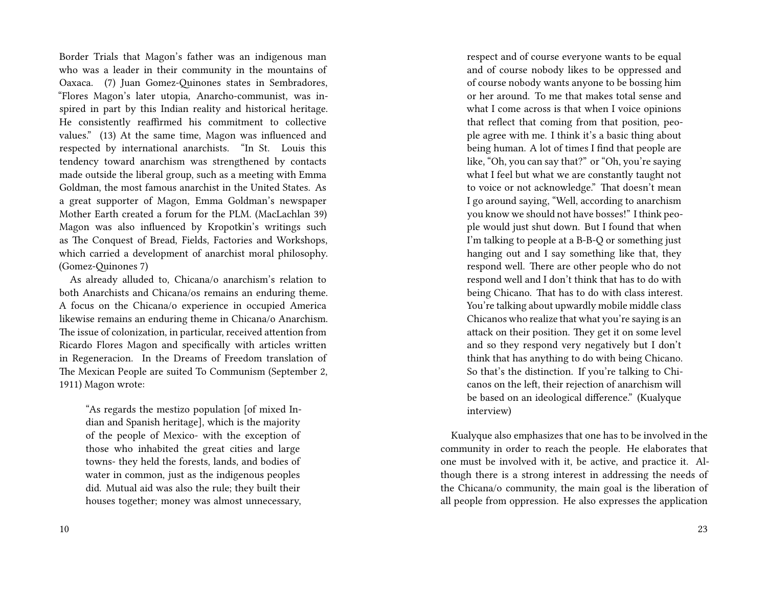Border Trials that Magon's father was an indigenous man who was a leader in their community in the mountains of Oaxaca. (7) Juan Gomez-Quinones states in Sembradores, "Flores Magon's later utopia, Anarcho-communist, was inspired in part by this Indian reality and historical heritage. He consistently reaffirmed his commitment to collective values." (13) At the same time, Magon was influenced and respected by international anarchists. "In St. Louis this tendency toward anarchism was strengthened by contacts made outside the liberal group, such as a meeting with Emma Goldman, the most famous anarchist in the United States. As a great supporter of Magon, Emma Goldman's newspaper Mother Earth created a forum for the PLM. (MacLachlan 39) Magon was also influenced by Kropotkin's writings such as The Conquest of Bread, Fields, Factories and Workshops, which carried a development of anarchist moral philosophy. (Gomez-Quinones 7)

As already alluded to, Chicana/o anarchism's relation to both Anarchists and Chicana/os remains an enduring theme. A focus on the Chicana/o experience in occupied America likewise remains an enduring theme in Chicana/o Anarchism. The issue of colonization, in particular, received attention from Ricardo Flores Magon and specifically with articles written in Regeneracion. In the Dreams of Freedom translation of The Mexican People are suited To Communism (September 2, 1911) Magon wrote:

"As regards the mestizo population [of mixed Indian and Spanish heritage], which is the majority of the people of Mexico- with the exception of those who inhabited the great cities and large towns- they held the forests, lands, and bodies of water in common, just as the indigenous peoples did. Mutual aid was also the rule; they built their houses together; money was almost unnecessary,

respect and of course everyone wants to be equal and of course nobody likes to be oppressed and of course nobody wants anyone to be bossing him or her around. To me that makes total sense and what I come across is that when I voice opinions that reflect that coming from that position, people agree with me. I think it's a basic thing about being human. A lot of times I find that people are like, "Oh, you can say that?" or "Oh, you're saying what I feel but what we are constantly taught not to voice or not acknowledge." That doesn't mean I go around saying, "Well, according to anarchism you know we should not have bosses!" I think people would just shut down. But I found that when I'm talking to people at a B-B-Q or something just hanging out and I say something like that, they respond well. There are other people who do not respond well and I don't think that has to do with being Chicano. That has to do with class interest. You're talking about upwardly mobile middle class Chicanos who realize that what you're saying is an attack on their position. They get it on some level and so they respond very negatively but I don't think that has anything to do with being Chicano. So that's the distinction. If you're talking to Chicanos on the left, their rejection of anarchism will be based on an ideological difference." (Kualyque interview)

Kualyque also emphasizes that one has to be involved in the community in order to reach the people. He elaborates that one must be involved with it, be active, and practice it. Although there is a strong interest in addressing the needs of the Chicana/o community, the main goal is the liberation of all people from oppression. He also expresses the application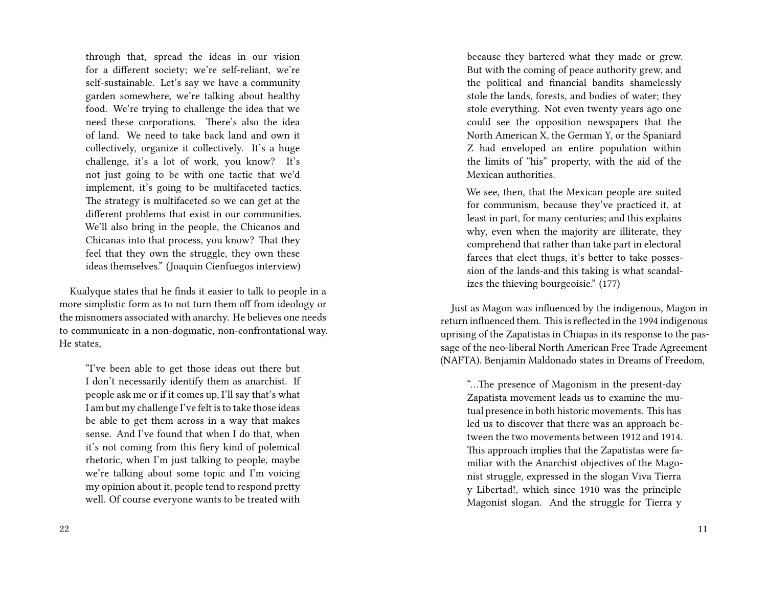through that, spread the ideas in our vision for a different society; we're self-reliant, we're self-sustainable. Let's say we have a community garden somewhere, we're talking about healthy food. We're trying to challenge the idea that we need these corporations. There's also the idea of land. We need to take back land and own it collectively, organize it collectively. It's a huge challenge, it's a lot of work, you know? It's not just going to be with one tactic that we'd implement, it's going to be multifaceted tactics. The strategy is multifaceted so we can get at the different problems that exist in our communities. We'll also bring in the people, the Chicanos and Chicanas into that process, you know? That they feel that they own the struggle, they own these ideas themselves." (Joaquin Cienfuegos interview)

Kualyque states that he finds it easier to talk to people in a more simplistic form as to not turn them off from ideology or the misnomers associated with anarchy. He believes one needs to communicate in a non-dogmatic, non-confrontational way. He states,

"I've been able to get those ideas out there but I don't necessarily identify them as anarchist. If people ask me or if it comes up, I'll say that's what I am but my challenge I've felt is to take those ideas be able to get them across in a way that makes sense. And I've found that when I do that, when it's not coming from this fiery kind of polemical rhetoric, when I'm just talking to people, maybe we're talking about some topic and I'm voicing my opinion about it, people tend to respond pretty well. Of course everyone wants to be treated with because they bartered what they made or grew. But with the coming of peace authority grew, and the political and financial bandits shamelessly stole the lands, forests, and bodies of water; they stole everything. Not even twenty years ago one could see the opposition newspapers that the North American X, the German Y, or the Spaniard Z had enveloped an entire population within the limits of "his" property, with the aid of the Mexican authorities.

We see, then, that the Mexican people are suited for communism, because they've practiced it, at least in part, for many centuries; and this explains why, even when the majority are illiterate, they comprehend that rather than take part in electoral farces that elect thugs, it's better to take possession of the lands-and this taking is what scandalizes the thieving bourgeoisie." (177)

Just as Magon was influenced by the indigenous, Magon in return influenced them. This is reflected in the 1994 indigenous uprising of the Zapatistas in Chiapas in its response to the passage of the neo-liberal North American Free Trade Agreement (NAFTA). Benjamin Maldonado states in Dreams of Freedom,

"…The presence of Magonism in the present-day Zapatista movement leads us to examine the mutual presence in both historic movements. This has led us to discover that there was an approach between the two movements between 1912 and 1914. This approach implies that the Zapatistas were familiar with the Anarchist objectives of the Magonist struggle, expressed in the slogan Viva Tierra y Libertad!, which since 1910 was the principle Magonist slogan. And the struggle for Tierra y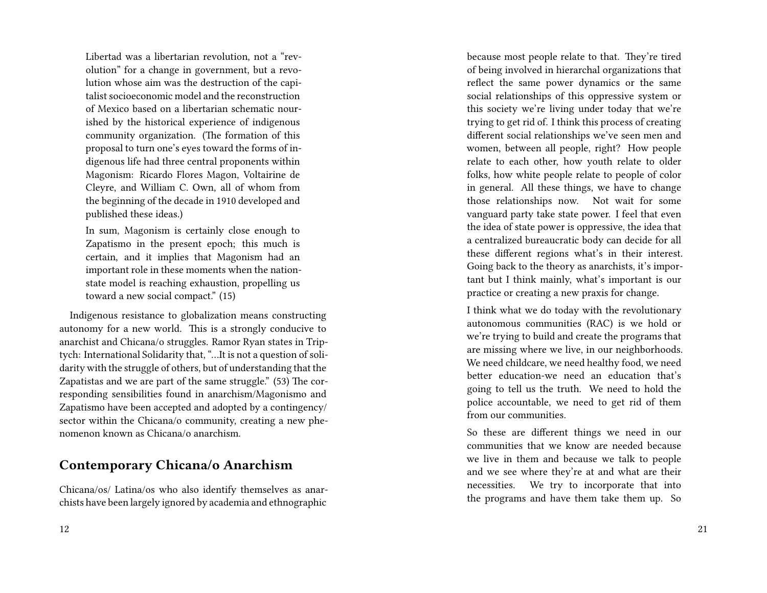Libertad was a libertarian revolution, not a "revolution" for a change in government, but a revolution whose aim was the destruction of the capitalist socioeconomic model and the reconstruction of Mexico based on a libertarian schematic nourished by the historical experience of indigenous community organization. (The formation of this proposal to turn one's eyes toward the forms of indigenous life had three central proponents within Magonism: Ricardo Flores Magon, Voltairine de Cleyre, and William C. Own, all of whom from the beginning of the decade in 1910 developed and published these ideas.)

In sum, Magonism is certainly close enough to Zapatismo in the present epoch; this much is certain, and it implies that Magonism had an important role in these moments when the nationstate model is reaching exhaustion, propelling us toward a new social compact." (15)

Indigenous resistance to globalization means constructing autonomy for a new world. This is a strongly conducive to anarchist and Chicana/o struggles. Ramor Ryan states in Triptych: International Solidarity that, "…It is not a question of solidarity with the struggle of others, but of understanding that the Zapatistas and we are part of the same struggle." (53) The corresponding sensibilities found in anarchism/Magonismo and Zapatismo have been accepted and adopted by a contingency/ sector within the Chicana/o community, creating a new phenomenon known as Chicana/o anarchism.

#### **Contemporary Chicana/o Anarchism**

Chicana/os/ Latina/os who also identify themselves as anarchists have been largely ignored by academia and ethnographic

because most people relate to that. They're tired of being involved in hierarchal organizations that reflect the same power dynamics or the same social relationships of this oppressive system or this society we're living under today that we're trying to get rid of. I think this process of creating different social relationships we've seen men and women, between all people, right? How people relate to each other, how youth relate to older folks, how white people relate to people of color in general. All these things, we have to change those relationships now. Not wait for some vanguard party take state power. I feel that even the idea of state power is oppressive, the idea that a centralized bureaucratic body can decide for all these different regions what's in their interest. Going back to the theory as anarchists, it's important but I think mainly, what's important is our practice or creating a new praxis for change.

I think what we do today with the revolutionary autonomous communities (RAC) is we hold or we're trying to build and create the programs that are missing where we live, in our neighborhoods. We need childcare, we need healthy food, we need better education-we need an education that's going to tell us the truth. We need to hold the police accountable, we need to get rid of them from our communities.

So these are different things we need in our communities that we know are needed because we live in them and because we talk to people and we see where they're at and what are their necessities. We try to incorporate that into the programs and have them take them up. So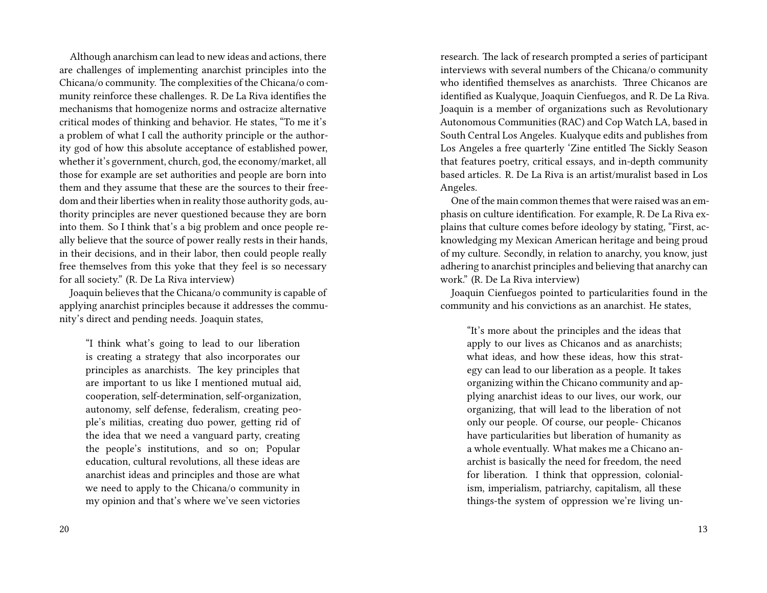Although anarchism can lead to new ideas and actions, there are challenges of implementing anarchist principles into the Chicana/o community. The complexities of the Chicana/o community reinforce these challenges. R. De La Riva identifies the mechanisms that homogenize norms and ostracize alternative critical modes of thinking and behavior. He states, "To me it's a problem of what I call the authority principle or the authority god of how this absolute acceptance of established power, whether it's government, church, god, the economy/market, all those for example are set authorities and people are born into them and they assume that these are the sources to their freedom and their liberties when in reality those authority gods, authority principles are never questioned because they are born into them. So I think that's a big problem and once people really believe that the source of power really rests in their hands, in their decisions, and in their labor, then could people really free themselves from this yoke that they feel is so necessary for all society." (R. De La Riva interview)

Joaquin believes that the Chicana/o community is capable of applying anarchist principles because it addresses the community's direct and pending needs. Joaquin states,

"I think what's going to lead to our liberation is creating a strategy that also incorporates our principles as anarchists. The key principles that are important to us like I mentioned mutual aid, cooperation, self-determination, self-organization, autonomy, self defense, federalism, creating people's militias, creating duo power, getting rid of the idea that we need a vanguard party, creating the people's institutions, and so on; Popular education, cultural revolutions, all these ideas are anarchist ideas and principles and those are what we need to apply to the Chicana/o community in my opinion and that's where we've seen victories

research. The lack of research prompted a series of participant interviews with several numbers of the Chicana/o community who identified themselves as anarchists. Three Chicanos are identified as Kualyque, Joaquin Cienfuegos, and R. De La Riva. Joaquin is a member of organizations such as Revolutionary Autonomous Communities (RAC) and Cop Watch LA, based in South Central Los Angeles. Kualyque edits and publishes from Los Angeles a free quarterly 'Zine entitled The Sickly Season that features poetry, critical essays, and in-depth community based articles. R. De La Riva is an artist/muralist based in Los Angeles.

One of the main common themes that were raised was an emphasis on culture identification. For example, R. De La Riva explains that culture comes before ideology by stating, "First, acknowledging my Mexican American heritage and being proud of my culture. Secondly, in relation to anarchy, you know, just adhering to anarchist principles and believing that anarchy can work." (R. De La Riva interview)

Joaquin Cienfuegos pointed to particularities found in the community and his convictions as an anarchist. He states,

"It's more about the principles and the ideas that apply to our lives as Chicanos and as anarchists; what ideas, and how these ideas, how this strategy can lead to our liberation as a people. It takes organizing within the Chicano community and applying anarchist ideas to our lives, our work, our organizing, that will lead to the liberation of not only our people. Of course, our people- Chicanos have particularities but liberation of humanity as a whole eventually. What makes me a Chicano anarchist is basically the need for freedom, the need for liberation. I think that oppression, colonialism, imperialism, patriarchy, capitalism, all these things-the system of oppression we're living un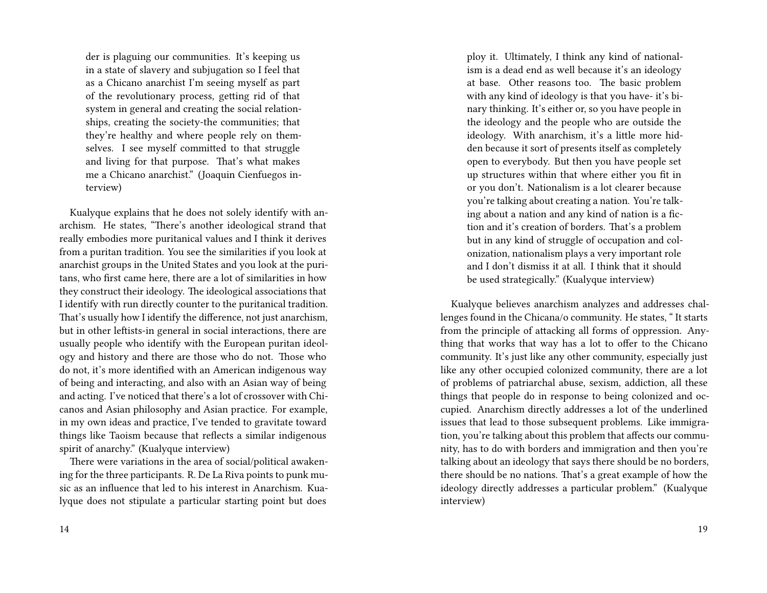der is plaguing our communities. It's keeping us in a state of slavery and subjugation so I feel that as a Chicano anarchist I'm seeing myself as part of the revolutionary process, getting rid of that system in general and creating the social relationships, creating the society-the communities; that they're healthy and where people rely on themselves. I see myself committed to that struggle and living for that purpose. That's what makes me a Chicano anarchist." (Joaquin Cienfuegos interview)

Kualyque explains that he does not solely identify with anarchism. He states, "There's another ideological strand that really embodies more puritanical values and I think it derives from a puritan tradition. You see the similarities if you look at anarchist groups in the United States and you look at the puritans, who first came here, there are a lot of similarities in how they construct their ideology. The ideological associations that I identify with run directly counter to the puritanical tradition. That's usually how I identify the difference, not just anarchism, but in other leftists-in general in social interactions, there are usually people who identify with the European puritan ideology and history and there are those who do not. Those who do not, it's more identified with an American indigenous way of being and interacting, and also with an Asian way of being and acting. I've noticed that there's a lot of crossover with Chicanos and Asian philosophy and Asian practice. For example, in my own ideas and practice, I've tended to gravitate toward things like Taoism because that reflects a similar indigenous spirit of anarchy." (Kualyque interview)

There were variations in the area of social/political awakening for the three participants. R. De La Riva points to punk music as an influence that led to his interest in Anarchism. Kualyque does not stipulate a particular starting point but does

ploy it. Ultimately, I think any kind of nationalism is a dead end as well because it's an ideology at base. Other reasons too. The basic problem with any kind of ideology is that you have- it's binary thinking. It's either or, so you have people in the ideology and the people who are outside the ideology. With anarchism, it's a little more hidden because it sort of presents itself as completely open to everybody. But then you have people set up structures within that where either you fit in or you don't. Nationalism is a lot clearer because you're talking about creating a nation. You're talking about a nation and any kind of nation is a fiction and it's creation of borders. That's a problem but in any kind of struggle of occupation and colonization, nationalism plays a very important role and I don't dismiss it at all. I think that it should be used strategically." (Kualyque interview)

Kualyque believes anarchism analyzes and addresses challenges found in the Chicana/o community. He states, " It starts from the principle of attacking all forms of oppression. Anything that works that way has a lot to offer to the Chicano community. It's just like any other community, especially just like any other occupied colonized community, there are a lot of problems of patriarchal abuse, sexism, addiction, all these things that people do in response to being colonized and occupied. Anarchism directly addresses a lot of the underlined issues that lead to those subsequent problems. Like immigration, you're talking about this problem that affects our community, has to do with borders and immigration and then you're talking about an ideology that says there should be no borders, there should be no nations. That's a great example of how the ideology directly addresses a particular problem." (Kualyque interview)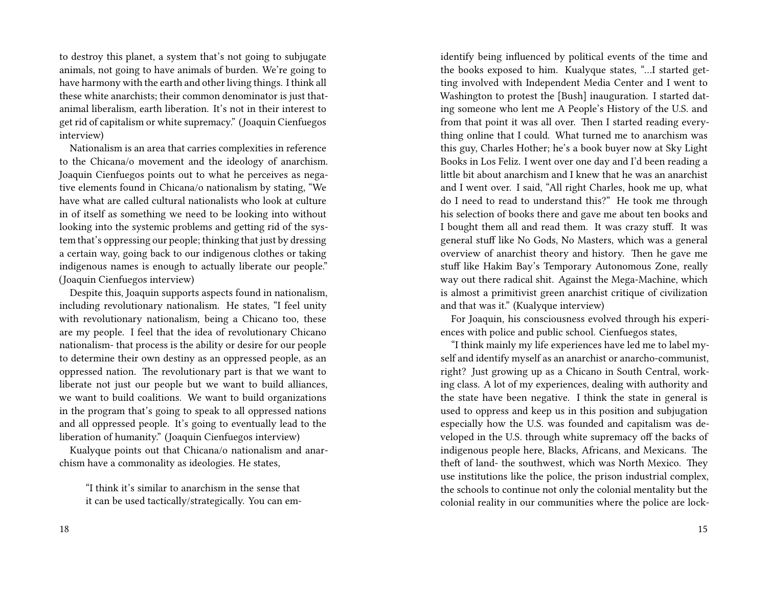to destroy this planet, a system that's not going to subjugate animals, not going to have animals of burden. We're going to have harmony with the earth and other living things. I think all these white anarchists; their common denominator is just thatanimal liberalism, earth liberation. It's not in their interest to get rid of capitalism or white supremacy." (Joaquin Cienfuegos interview)

Nationalism is an area that carries complexities in reference to the Chicana/o movement and the ideology of anarchism. Joaquin Cienfuegos points out to what he perceives as negative elements found in Chicana/o nationalism by stating, "We have what are called cultural nationalists who look at culture in of itself as something we need to be looking into without looking into the systemic problems and getting rid of the system that's oppressing our people; thinking that just by dressing a certain way, going back to our indigenous clothes or taking indigenous names is enough to actually liberate our people." (Joaquin Cienfuegos interview)

Despite this, Joaquin supports aspects found in nationalism, including revolutionary nationalism. He states, "I feel unity with revolutionary nationalism, being a Chicano too, these are my people. I feel that the idea of revolutionary Chicano nationalism- that process is the ability or desire for our people to determine their own destiny as an oppressed people, as an oppressed nation. The revolutionary part is that we want to liberate not just our people but we want to build alliances, we want to build coalitions. We want to build organizations in the program that's going to speak to all oppressed nations and all oppressed people. It's going to eventually lead to the liberation of humanity." (Joaquin Cienfuegos interview)

Kualyque points out that Chicana/o nationalism and anarchism have a commonality as ideologies. He states,

"I think it's similar to anarchism in the sense that it can be used tactically/strategically. You can emidentify being influenced by political events of the time and the books exposed to him. Kualyque states, "…I started getting involved with Independent Media Center and I went to Washington to protest the [Bush] inauguration. I started dating someone who lent me A People's History of the U.S. and from that point it was all over. Then I started reading everything online that I could. What turned me to anarchism was this guy, Charles Hother; he's a book buyer now at Sky Light Books in Los Feliz. I went over one day and I'd been reading a little bit about anarchism and I knew that he was an anarchist and I went over. I said, "All right Charles, hook me up, what do I need to read to understand this?" He took me through his selection of books there and gave me about ten books and I bought them all and read them. It was crazy stuff. It was general stuff like No Gods, No Masters, which was a general overview of anarchist theory and history. Then he gave me stuff like Hakim Bay's Temporary Autonomous Zone, really way out there radical shit. Against the Mega-Machine, which is almost a primitivist green anarchist critique of civilization and that was it." (Kualyque interview)

For Joaquin, his consciousness evolved through his experiences with police and public school. Cienfuegos states,

"I think mainly my life experiences have led me to label myself and identify myself as an anarchist or anarcho-communist, right? Just growing up as a Chicano in South Central, working class. A lot of my experiences, dealing with authority and the state have been negative. I think the state in general is used to oppress and keep us in this position and subjugation especially how the U.S. was founded and capitalism was developed in the U.S. through white supremacy off the backs of indigenous people here, Blacks, Africans, and Mexicans. The theft of land- the southwest, which was North Mexico. They use institutions like the police, the prison industrial complex, the schools to continue not only the colonial mentality but the colonial reality in our communities where the police are lock